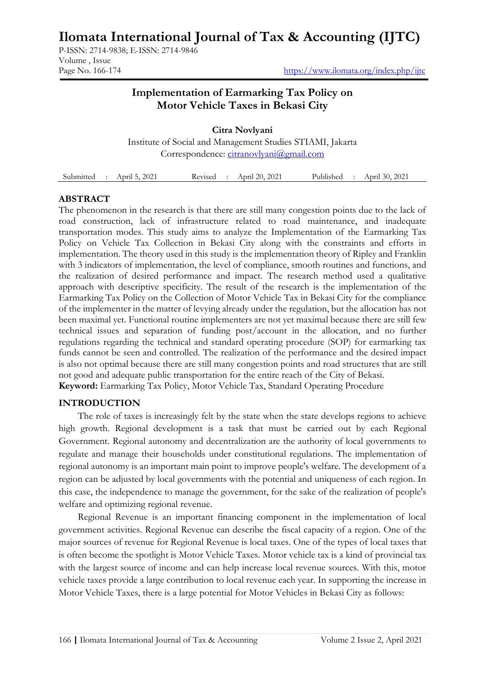# **Ilomata International Journal of Tax & Accounting (IJTC)**

P-ISSN: 2714-9838; E-ISSN: 2714-9846 Volume , Issue

Page No. 166-174 <https://www.ilomata.org/index.php/ijtc>

## **Implementation of Earmarking Tax Policy on Motor Vehicle Taxes in Bekasi City**

**Citra Novlyani** Institute of Social and Management Studies STIAMI, Jakarta Correspondence: [citranovlyani@gmail.com](mailto:citranovlyani@gmail.com)

Submitted : April 5, 2021 Revised : April 20, 2021 Published : April 30, 2021

#### **ABSTRACT**

The phenomenon in the research is that there are still many congestion points due to the lack of road construction, lack of infrastructure related to road maintenance, and inadequate transportation modes. This study aims to analyze the Implementation of the Earmarking Tax Policy on Vehicle Tax Collection in Bekasi City along with the constraints and efforts in implementation. The theory used in this study is the implementation theory of Ripley and Franklin with 3 indicators of implementation, the level of compliance, smooth routines and functions, and the realization of desired performance and impact. The research method used a qualitative approach with descriptive specificity. The result of the research is the implementation of the Earmarking Tax Policy on the Collection of Motor Vehicle Tax in Bekasi City for the compliance of the implementer in the matter of levying already under the regulation, but the allocation has not been maximal yet. Functional routine implementers are not yet maximal because there are still few technical issues and separation of funding post/account in the allocation, and no further regulations regarding the technical and standard operating procedure (SOP) for earmarking tax funds cannot be seen and controlled. The realization of the performance and the desired impact is also not optimal because there are still many congestion points and road structures that are still not good and adequate public transportation for the entire reach of the City of Bekasi. **Keyword:** Earmarking Tax Policy, Motor Vehicle Tax, Standard Operating Procedure

#### **INTRODUCTION**

The role of taxes is increasingly felt by the state when the state develops regions to achieve high growth. Regional development is a task that must be carried out by each Regional Government. Regional autonomy and decentralization are the authority of local governments to regulate and manage their households under constitutional regulations. The implementation of regional autonomy is an important main point to improve people's welfare. The development of a region can be adjusted by local governments with the potential and uniqueness of each region. In this case, the independence to manage the government, for the sake of the realization of people's welfare and optimizing regional revenue.

Regional Revenue is an important financing component in the implementation of local government activities. Regional Revenue can describe the fiscal capacity of a region. One of the major sources of revenue for Regional Revenue is local taxes. One of the types of local taxes that is often become the spotlight is Motor Vehicle Taxes. Motor vehicle tax is a kind of provincial tax with the largest source of income and can help increase local revenue sources. With this, motor vehicle taxes provide a large contribution to local revenue each year. In supporting the increase in Motor Vehicle Taxes, there is a large potential for Motor Vehicles in Bekasi City as follows: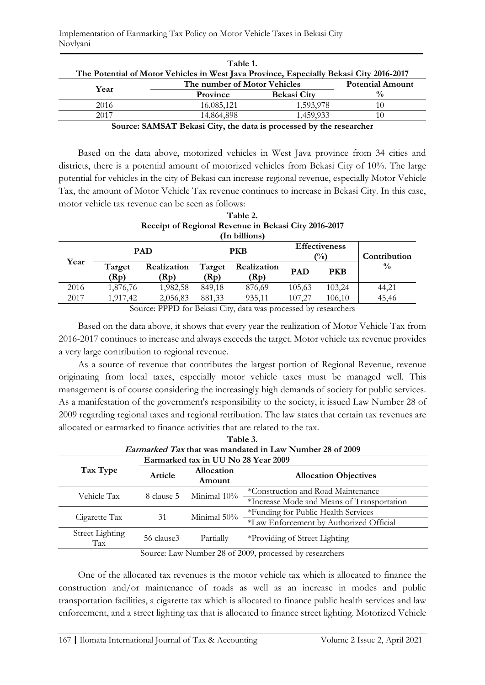| Table 1.<br>The Potential of Motor Vehicles in West Java Province, Especially Bekasi City 2016-2017 |                                                          |                         |               |  |  |
|-----------------------------------------------------------------------------------------------------|----------------------------------------------------------|-------------------------|---------------|--|--|
| Year                                                                                                | The number of Motor Vehicles                             | <b>Potential Amount</b> |               |  |  |
|                                                                                                     | Province                                                 | <b>Bekasi City</b>      | $\frac{0}{0}$ |  |  |
| 2016                                                                                                | 16,085,121                                               | 1,593,978               |               |  |  |
| 2017                                                                                                | 14,864,898                                               | 1,459,933               |               |  |  |
| $\sim$                                                                                              | $0.1160.1 \text{ m} \cdot 1 \cdot 0.011 \cdot 1 \cdot 1$ |                         |               |  |  |

Implementation of Earmarking Tax Policy on Motor Vehicle Taxes in Bekasi City Novlyani

**Source: SAMSAT Bekasi City, the data is processed by the researcher**

Based on the data above, motorized vehicles in West Java province from 34 cities and districts, there is a potential amount of motorized vehicles from Bekasi City of 10%. The large potential for vehicles in the city of Bekasi can increase regional revenue, especially Motor Vehicle Tax, the amount of Motor Vehicle Tax revenue continues to increase in Bekasi City. In this case, motor vehicle tax revenue can be seen as follows:

**Table 2.**

| Receipt of Regional Revenue in Bekasi City 2016-2017<br>(In billions) |                |                     |                             |                     |                                        |              |               |
|-----------------------------------------------------------------------|----------------|---------------------|-----------------------------|---------------------|----------------------------------------|--------------|---------------|
|                                                                       | <b>PAD</b>     |                     | <b>PKB</b>                  |                     | <b>Effectiveness</b><br>$\binom{0}{0}$ |              | Contribution  |
| Year                                                                  | Target<br>(Rp) | Realization<br>(Rp) | Target<br>(Rp)              | Realization<br>(Rp) | <b>PAD</b>                             | <b>PKB</b>   | $\frac{0}{0}$ |
| 2016                                                                  | 1,876,76       | 1,982,58            | 849,18                      | 876,69              | 105,63                                 | 103,24       | 44,21         |
| 2017                                                                  | 1,917,42       | 2,056,83            | 881,33                      | 935,11              | 107,27                                 | 106,10       | 45,46         |
|                                                                       | $\sim$         | <del>-----</del>    | $\mathbf{r}$ i $\mathbf{r}$ |                     | .                                      | $\mathbf{H}$ |               |

Source: PPPD for Bekasi City, data was processed by researchers

Based on the data above, it shows that every year the realization of Motor Vehicle Tax from 2016-2017 continues to increase and always exceeds the target. Motor vehicle tax revenue provides a very large contribution to regional revenue.

As a source of revenue that contributes the largest portion of Regional Revenue, revenue originating from local taxes, especially motor vehicle taxes must be managed well. This management is of course considering the increasingly high demands of society for public services. As a manifestation of the government's responsibility to the society, it issued Law Number 28 of 2009 regarding regional taxes and regional retribution. The law states that certain tax revenues are allocated or earmarked to finance activities that are related to the tax.

| Table 3.                                                 |            |                             |                                            |  |  |
|----------------------------------------------------------|------------|-----------------------------|--------------------------------------------|--|--|
| Earmarked Tax that was mandated in Law Number 28 of 2009 |            |                             |                                            |  |  |
| Earmarked tax in UU No 28 Year 2009                      |            |                             |                                            |  |  |
| Tax Type                                                 | Article    | <b>Allocation</b><br>Amount | <b>Allocation Objectives</b>               |  |  |
| Vehicle Tax                                              | 8 clause 5 | Minimal 10%                 | *Construction and Road Maintenance         |  |  |
|                                                          |            |                             | *Increase Mode and Means of Transportation |  |  |
|                                                          | 31         | Minimal 50%                 | *Funding for Public Health Services        |  |  |
| Cigarette Tax                                            |            |                             | *Law Enforcement by Authorized Official    |  |  |
| <b>Street Lighting</b><br>Tax                            | 56 clause3 | Partially                   | *Providing of Street Lighting              |  |  |
| $C = I - M - 1 - 20 - C2000$ 11 1                        |            |                             |                                            |  |  |

Source: Law Number 28 of 2009, processed by researchers

One of the allocated tax revenues is the motor vehicle tax which is allocated to finance the construction and/or maintenance of roads as well as an increase in modes and public transportation facilities, a cigarette tax which is allocated to finance public health services and law enforcement, and a street lighting tax that is allocated to finance street lighting. Motorized Vehicle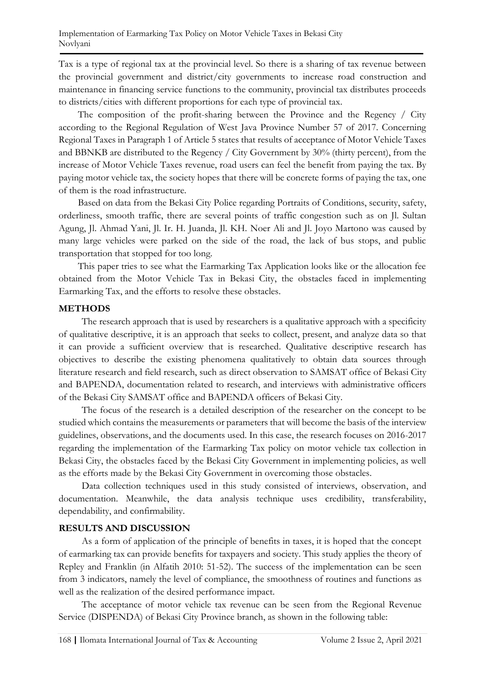Tax is a type of regional tax at the provincial level. So there is a sharing of tax revenue between the provincial government and district/city governments to increase road construction and maintenance in financing service functions to the community, provincial tax distributes proceeds to districts/cities with different proportions for each type of provincial tax.

The composition of the profit-sharing between the Province and the Regency / City according to the Regional Regulation of West Java Province Number 57 of 2017. Concerning Regional Taxes in Paragraph 1 of Article 5 states that results of acceptance of Motor Vehicle Taxes and BBNKB are distributed to the Regency / City Government by 30% (thirty percent), from the increase of Motor Vehicle Taxes revenue, road users can feel the benefit from paying the tax. By paying motor vehicle tax, the society hopes that there will be concrete forms of paying the tax, one of them is the road infrastructure.

Based on data from the Bekasi City Police regarding Portraits of Conditions, security, safety, orderliness, smooth traffic, there are several points of traffic congestion such as on Jl. Sultan Agung, Jl. Ahmad Yani, Jl. Ir. H. Juanda, Jl. KH. Noer Ali and Jl. Joyo Martono was caused by many large vehicles were parked on the side of the road, the lack of bus stops, and public transportation that stopped for too long.

This paper tries to see what the Earmarking Tax Application looks like or the allocation fee obtained from the Motor Vehicle Tax in Bekasi City, the obstacles faced in implementing Earmarking Tax, and the efforts to resolve these obstacles.

### **METHODS**

The research approach that is used by researchers is a qualitative approach with a specificity of qualitative descriptive, it is an approach that seeks to collect, present, and analyze data so that it can provide a sufficient overview that is researched. Qualitative descriptive research has objectives to describe the existing phenomena qualitatively to obtain data sources through literature research and field research, such as direct observation to SAMSAT office of Bekasi City and BAPENDA, documentation related to research, and interviews with administrative officers of the Bekasi City SAMSAT office and BAPENDA officers of Bekasi City.

The focus of the research is a detailed description of the researcher on the concept to be studied which contains the measurements or parameters that will become the basis of the interview guidelines, observations, and the documents used. In this case, the research focuses on 2016-2017 regarding the implementation of the Earmarking Tax policy on motor vehicle tax collection in Bekasi City, the obstacles faced by the Bekasi City Government in implementing policies, as well as the efforts made by the Bekasi City Government in overcoming those obstacles.

Data collection techniques used in this study consisted of interviews, observation, and documentation. Meanwhile, the data analysis technique uses credibility, transferability, dependability, and confirmability.

### **RESULTS AND DISCUSSION**

As a form of application of the principle of benefits in taxes, it is hoped that the concept of earmarking tax can provide benefits for taxpayers and society. This study applies the theory of Repley and Franklin (in Alfatih 2010: 51-52). The success of the implementation can be seen from 3 indicators, namely the level of compliance, the smoothness of routines and functions as well as the realization of the desired performance impact.

The acceptance of motor vehicle tax revenue can be seen from the Regional Revenue Service (DISPENDA) of Bekasi City Province branch, as shown in the following table: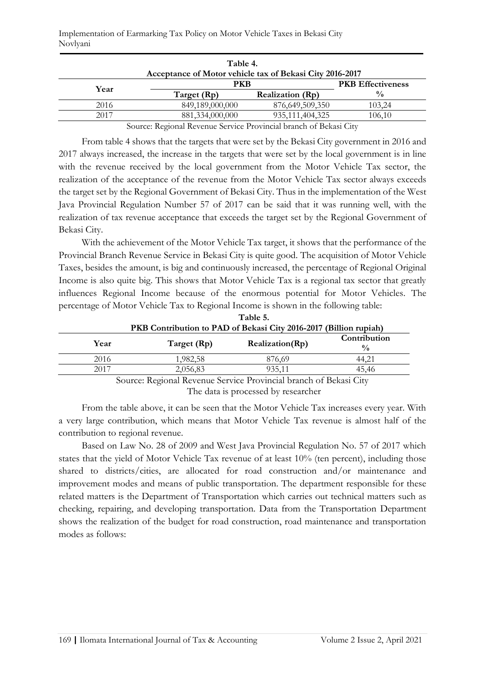| Table 4.<br>Acceptance of Motor vehicle tax of Bekasi City 2016-2017 |                 |                          |               |  |  |
|----------------------------------------------------------------------|-----------------|--------------------------|---------------|--|--|
| Year                                                                 | <b>PKB</b>      | <b>PKB</b> Effectiveness |               |  |  |
|                                                                      | Target (Rp)     | <b>Realization (Rp)</b>  | $\frac{0}{0}$ |  |  |
| 2016                                                                 | 849,189,000,000 | 876, 649, 509, 350       | 103,24        |  |  |
| 2017                                                                 | 881,334,000,000 | 935, 111, 404, 325       | 106,10        |  |  |
| Source: Regional Revenue Service Provincial branch of Bekasi City    |                 |                          |               |  |  |

Implementation of Earmarking Tax Policy on Motor Vehicle Taxes in Bekasi City Novlyani

From table 4 shows that the targets that were set by the Bekasi City government in 2016 and 2017 always increased, the increase in the targets that were set by the local government is in line with the revenue received by the local government from the Motor Vehicle Tax sector, the realization of the acceptance of the revenue from the Motor Vehicle Tax sector always exceeds the target set by the Regional Government of Bekasi City. Thus in the implementation of the West Java Provincial Regulation Number 57 of 2017 can be said that it was running well, with the realization of tax revenue acceptance that exceeds the target set by the Regional Government of Bekasi City.

With the achievement of the Motor Vehicle Tax target, it shows that the performance of the Provincial Branch Revenue Service in Bekasi City is quite good. The acquisition of Motor Vehicle Taxes, besides the amount, is big and continuously increased, the percentage of Regional Original Income is also quite big. This shows that Motor Vehicle Tax is a regional tax sector that greatly influences Regional Income because of the enormous potential for Motor Vehicles. The percentage of Motor Vehicle Tax to Regional Income is shown in the following table:

|      | Table 5.<br>PKB Contribution to PAD of Bekasi City 2016-2017 (Billion rupiah) |                 |                               |  |  |  |
|------|-------------------------------------------------------------------------------|-----------------|-------------------------------|--|--|--|
| Year | Target (Rp)                                                                   | Realization(Rp) | Contribution<br>$\frac{0}{0}$ |  |  |  |
| 2016 | 1,982,58                                                                      | 876,69          | 44.21                         |  |  |  |
| 2017 | 2,056,83                                                                      | 935,11          | 45.46                         |  |  |  |

Source: Regional Revenue Service Provincial branch of Bekasi City The data is processed by researcher

From the table above, it can be seen that the Motor Vehicle Tax increases every year. With a very large contribution, which means that Motor Vehicle Tax revenue is almost half of the contribution to regional revenue.

Based on Law No. 28 of 2009 and West Java Provincial Regulation No. 57 of 2017 which states that the yield of Motor Vehicle Tax revenue of at least 10% (ten percent), including those shared to districts/cities, are allocated for road construction and/or maintenance and improvement modes and means of public transportation. The department responsible for these related matters is the Department of Transportation which carries out technical matters such as checking, repairing, and developing transportation. Data from the Transportation Department shows the realization of the budget for road construction, road maintenance and transportation modes as follows: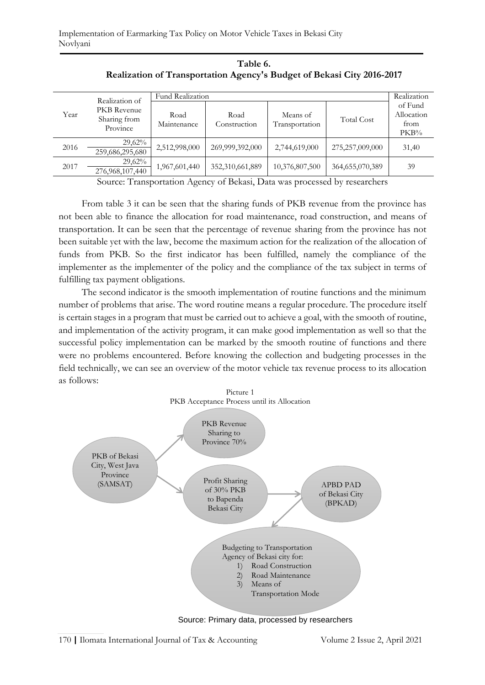|                                                 | Realization of               | Fund Realization     | Realization                |                   |                                       |       |
|-------------------------------------------------|------------------------------|----------------------|----------------------------|-------------------|---------------------------------------|-------|
| PKB Revenue<br>Year<br>Sharing from<br>Province | Road<br>Maintenance          | Road<br>Construction | Means of<br>Transportation | <b>Total Cost</b> | of Fund<br>Allocation<br>from<br>PKB% |       |
| 2016                                            | $29,62\%$<br>259,686,295,680 | 2,512,998,000        | 269,999,392,000            | 2,744,619,000     | 275,257,009,000                       | 31,40 |
| 2017                                            | $29,62\%$<br>276,968,107,440 | 1,967,601,440        | 352,310,661,889            | 10,376,807,500    | 364,655,070,389                       | 39    |

**Table 6. Realization of Transportation Agency's Budget of Bekasi City 2016-2017**

Source: Transportation Agency of Bekasi, Data was processed by researchers

From table 3 it can be seen that the sharing funds of PKB revenue from the province has not been able to finance the allocation for road maintenance, road construction, and means of transportation. It can be seen that the percentage of revenue sharing from the province has not been suitable yet with the law, become the maximum action for the realization of the allocation of funds from PKB. So the first indicator has been fulfilled, namely the compliance of the implementer as the implementer of the policy and the compliance of the tax subject in terms of fulfilling tax payment obligations.

The second indicator is the smooth implementation of routine functions and the minimum number of problems that arise. The word routine means a regular procedure. The procedure itself is certain stages in a program that must be carried out to achieve a goal, with the smooth of routine, and implementation of the activity program, it can make good implementation as well so that the successful policy implementation can be marked by the smooth routine of functions and there were no problems encountered. Before knowing the collection and budgeting processes in the field technically, we can see an overview of the motor vehicle tax revenue process to its allocation as follows:



Source: Primary data, processed by researchers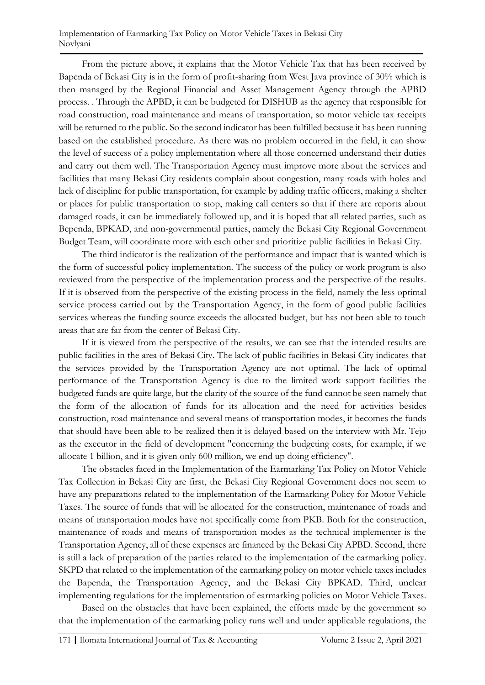Implementation of Earmarking Tax Policy on Motor Vehicle Taxes in Bekasi City Novlyani

From the picture above, it explains that the Motor Vehicle Tax that has been received by Bapenda of Bekasi City is in the form of profit-sharing from West Java province of 30% which is then managed by the Regional Financial and Asset Management Agency through the APBD process. . Through the APBD, it can be budgeted for DISHUB as the agency that responsible for road construction, road maintenance and means of transportation, so motor vehicle tax receipts will be returned to the public. So the second indicator has been fulfilled because it has been running based on the established procedure. As there was no problem occurred in the field, it can show the level of success of a policy implementation where all those concerned understand their duties and carry out them well. The Transportation Agency must improve more about the services and facilities that many Bekasi City residents complain about congestion, many roads with holes and lack of discipline for public transportation, for example by adding traffic officers, making a shelter or places for public transportation to stop, making call centers so that if there are reports about damaged roads, it can be immediately followed up, and it is hoped that all related parties, such as Bependa, BPKAD, and non-governmental parties, namely the Bekasi City Regional Government Budget Team, will coordinate more with each other and prioritize public facilities in Bekasi City.

The third indicator is the realization of the performance and impact that is wanted which is the form of successful policy implementation. The success of the policy or work program is also reviewed from the perspective of the implementation process and the perspective of the results. If it is observed from the perspective of the existing process in the field, namely the less optimal service process carried out by the Transportation Agency, in the form of good public facilities services whereas the funding source exceeds the allocated budget, but has not been able to touch areas that are far from the center of Bekasi City.

If it is viewed from the perspective of the results, we can see that the intended results are public facilities in the area of Bekasi City. The lack of public facilities in Bekasi City indicates that the services provided by the Transportation Agency are not optimal. The lack of optimal performance of the Transportation Agency is due to the limited work support facilities the budgeted funds are quite large, but the clarity of the source of the fund cannot be seen namely that the form of the allocation of funds for its allocation and the need for activities besides construction, road maintenance and several means of transportation modes, it becomes the funds that should have been able to be realized then it is delayed based on the interview with Mr. Tejo as the executor in the field of development "concerning the budgeting costs, for example, if we allocate 1 billion, and it is given only 600 million, we end up doing efficiency".

The obstacles faced in the Implementation of the Earmarking Tax Policy on Motor Vehicle Tax Collection in Bekasi City are first, the Bekasi City Regional Government does not seem to have any preparations related to the implementation of the Earmarking Policy for Motor Vehicle Taxes. The source of funds that will be allocated for the construction, maintenance of roads and means of transportation modes have not specifically come from PKB. Both for the construction, maintenance of roads and means of transportation modes as the technical implementer is the Transportation Agency, all of these expenses are financed by the Bekasi City APBD. Second, there is still a lack of preparation of the parties related to the implementation of the earmarking policy. SKPD that related to the implementation of the earmarking policy on motor vehicle taxes includes the Bapenda, the Transportation Agency, and the Bekasi City BPKAD. Third, unclear implementing regulations for the implementation of earmarking policies on Motor Vehicle Taxes.

Based on the obstacles that have been explained, the efforts made by the government so that the implementation of the earmarking policy runs well and under applicable regulations, the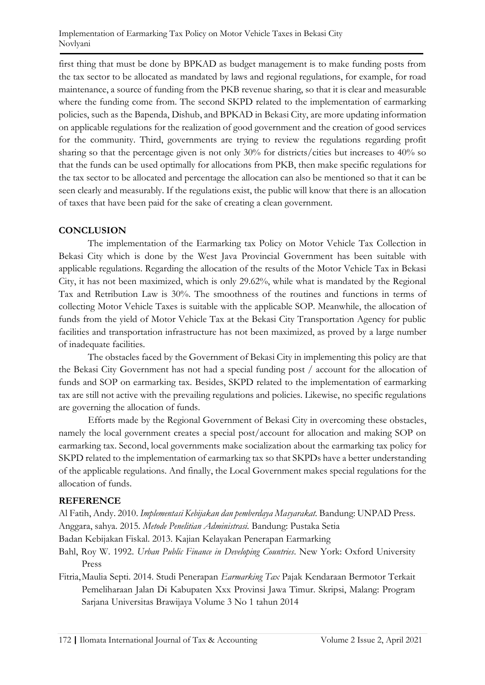first thing that must be done by BPKAD as budget management is to make funding posts from the tax sector to be allocated as mandated by laws and regional regulations, for example, for road maintenance, a source of funding from the PKB revenue sharing, so that it is clear and measurable where the funding come from. The second SKPD related to the implementation of earmarking policies, such as the Bapenda, Dishub, and BPKAD in Bekasi City, are more updating information on applicable regulations for the realization of good government and the creation of good services for the community. Third, governments are trying to review the regulations regarding profit sharing so that the percentage given is not only 30% for districts/cities but increases to 40% so that the funds can be used optimally for allocations from PKB, then make specific regulations for the tax sector to be allocated and percentage the allocation can also be mentioned so that it can be seen clearly and measurably. If the regulations exist, the public will know that there is an allocation of taxes that have been paid for the sake of creating a clean government.

## **CONCLUSION**

The implementation of the Earmarking tax Policy on Motor Vehicle Tax Collection in Bekasi City which is done by the West Java Provincial Government has been suitable with applicable regulations. Regarding the allocation of the results of the Motor Vehicle Tax in Bekasi City, it has not been maximized, which is only 29.62%, while what is mandated by the Regional Tax and Retribution Law is 30%. The smoothness of the routines and functions in terms of collecting Motor Vehicle Taxes is suitable with the applicable SOP. Meanwhile, the allocation of funds from the yield of Motor Vehicle Tax at the Bekasi City Transportation Agency for public facilities and transportation infrastructure has not been maximized, as proved by a large number of inadequate facilities.

The obstacles faced by the Government of Bekasi City in implementing this policy are that the Bekasi City Government has not had a special funding post / account for the allocation of funds and SOP on earmarking tax. Besides, SKPD related to the implementation of earmarking tax are still not active with the prevailing regulations and policies. Likewise, no specific regulations are governing the allocation of funds.

Efforts made by the Regional Government of Bekasi City in overcoming these obstacles, namely the local government creates a special post/account for allocation and making SOP on earmarking tax. Second, local governments make socialization about the earmarking tax policy for SKPD related to the implementation of earmarking tax so that SKPDs have a better understanding of the applicable regulations. And finally, the Local Government makes special regulations for the allocation of funds.

## **REFERENCE**

Al Fatih, Andy. 2010. *Implementasi Kebijakan dan pemberdaya Masyarakat.* Bandung: UNPAD Press.

- Anggara, sahya. 2015. *Metode Penelitian Administrasi.* Bandung: Pustaka Setia
- Badan Kebijakan Fiskal. 2013. Kajian Kelayakan Penerapan Earmarking
- Bahl, Roy W. 1992. *Urban Public Finance in Developing Countries*. New York: Oxford University Press
- Fitria,Maulia Septi. 2014. Studi Penerapan *Earmarking Tax* Pajak Kendaraan Bermotor Terkait Pemeliharaan Jalan Di Kabupaten Xxx Provinsi Jawa Timur. Skripsi, Malang: Program Sarjana Universitas Brawijaya Volume 3 No 1 tahun 2014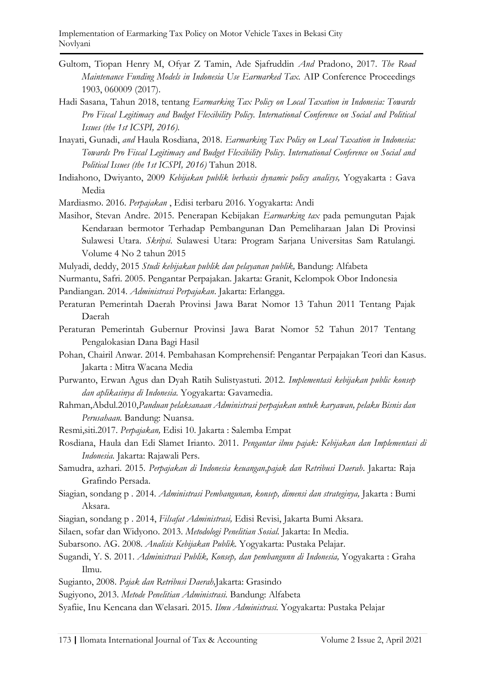- Gultom, Tiopan Henry M, Ofyar Z Tamin, Ade Sjafruddin *And* Pradono, 2017. *The Road Maintenance Funding Models in Indonesia Use Earmarked Tax.* AIP Conference Proceedings 1903, 060009 (2017).
- Hadi Sasana, Tahun 2018, tentang *Earmarking Tax Policy on Local Taxation in Indonesia: Towards Pro Fiscal Legitimacy and Budget Flexibility Policy. International Conference on Social and Political Issues (the 1st ICSPI, 2016).*
- Inayati, Gunadi, *and* Haula Rosdiana, 2018. *Earmarking Tax Policy on Local Taxation in Indonesia: Towards Pro Fiscal Legitimacy and Budget Flexibility Policy. International Conference on Social and Political Issues (the 1st ICSPI, 2016)* Tahun 2018.
- Indiahono, Dwiyanto, 2009 *Kebijakan publik berbasis dynamic policy analisys,* Yogyakarta : Gava Media

Mardiasmo. 2016. *Perpajakan* , Edisi terbaru 2016. Yogyakarta: Andi

- Masihor, Stevan Andre. 2015. Penerapan Kebijakan *Earmarking tax* pada pemungutan Pajak Kendaraan bermotor Terhadap Pembangunan Dan Pemeliharaan Jalan Di Provinsi Sulawesi Utara. *Skripsi*. Sulawesi Utara: Program Sarjana Universitas Sam Ratulangi. Volume 4 No 2 tahun 2015
- Mulyadi, deddy, 2015 *Studi kebijakan publik dan pelayanan publik,* Bandung: Alfabeta
- Nurmantu, Safri. 2005. Pengantar Perpajakan. Jakarta: Granit, Kelompok Obor Indonesia
- Pandiangan. 2014. *Administrasi Perpajakan*. Jakarta: Erlangga.
- Peraturan Pemerintah Daerah Provinsi Jawa Barat Nomor 13 Tahun 2011 Tentang Pajak Daerah
- Peraturan Pemerintah Gubernur Provinsi Jawa Barat Nomor 52 Tahun 2017 Tentang Pengalokasian Dana Bagi Hasil
- Pohan, Chairil Anwar. 2014. Pembahasan Komprehensif: Pengantar Perpajakan Teori dan Kasus. Jakarta : Mitra Wacana Media
- Purwanto, Erwan Agus dan Dyah Ratih Sulistyastuti. 2012. *Implementasi kebijakan public konsep dan aplikasinya di Indonesia.* Yogyakarta: Gavamedia.
- Rahman,Abdul.2010,*Panduan pelaksanaan Administrasi perpajakan untuk karyawan, pelaku Bisnis dan Perusahaan.* Bandung: Nuansa.
- Resmi,siti.2017. *Perpajakan,* Edisi 10. Jakarta : Salemba Empat
- Rosdiana, Haula dan Edi Slamet Irianto. 2011. *Pengantar ilmu pajak: Kebijakan dan Implementasi di Indonesia.* Jakarta: Rajawali Pers.
- Samudra, azhari. 2015. *Perpajakan di Indonesia keuangan,pajak dan Retribusi Daerah*. Jakarta: Raja Grafindo Persada.
- Siagian, sondang p . 2014. *Administrasi Pembangunan, konsep, dimensi dan strateginya,* Jakarta : Bumi Aksara.
- Siagian, sondang p . 2014, *Filsafat Administrasi,* Edisi Revisi, Jakarta Bumi Aksara.
- Silaen, sofar dan Widyono. 2013. *Metodologi Penelitian Sosial.* Jakarta: In Media.
- Subarsono. AG. 2008. *Analisis Kebijakan Publik.* Yogyakarta: Pustaka Pelajar.
- Sugandi, Y. S. 2011. *Administrasi Publik, Konsep, dan pembangunn di Indonesia,* Yogyakarta : Graha Ilmu.
- Sugianto, 2008. *Pajak dan Retribusi Daerah,*Jakarta: Grasindo
- Sugiyono, 2013. *Metode Penelitian Administrasi.* Bandung: Alfabeta
- Syafiie, Inu Kencana dan Welasari. 2015. *Ilmu Administrasi.* Yogyakarta: Pustaka Pelajar